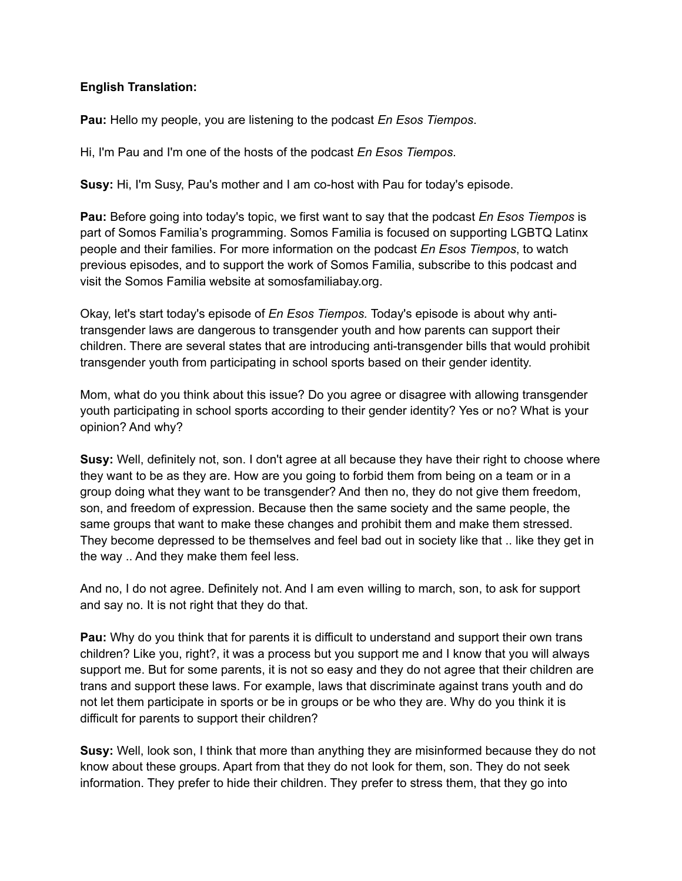## **English Translation:**

**Pau:** Hello my people, you are listening to the podcast *En Esos Tiempos*.

Hi, I'm Pau and I'm one of the hosts of the podcast *En Esos Tiempos*.

**Susy:** Hi, I'm Susy, Pau's mother and I am co-host with Pau for today's episode.

**Pau:** Before going into today's topic, we first want to say that the podcast *En Esos Tiempos* is part of Somos Familia's programming. Somos Familia is focused on supporting LGBTQ Latinx people and their families. For more information on the podcast *En Esos Tiempos*, to watch previous episodes, and to support the work of Somos Familia, subscribe to this podcast and visit the Somos Familia website at somosfamiliabay.org.

Okay, let's start today's episode of *En Esos Tiempos.* Today's episode is about why antitransgender laws are dangerous to transgender youth and how parents can support their children. There are several states that are introducing anti-transgender bills that would prohibit transgender youth from participating in school sports based on their gender identity.

Mom, what do you think about this issue? Do you agree or disagree with allowing transgender youth participating in school sports according to their gender identity? Yes or no? What is your opinion? And why?

**Susy:** Well, definitely not, son. I don't agree at all because they have their right to choose where they want to be as they are. How are you going to forbid them from being on a team or in a group doing what they want to be transgender? And then no, they do not give them freedom, son, and freedom of expression. Because then the same society and the same people, the same groups that want to make these changes and prohibit them and make them stressed. They become depressed to be themselves and feel bad out in society like that .. like they get in the way .. And they make them feel less.

And no, I do not agree. Definitely not. And I am even willing to march, son, to ask for support and say no. It is not right that they do that.

**Pau:** Why do you think that for parents it is difficult to understand and support their own trans children? Like you, right?, it was a process but you support me and I know that you will always support me. But for some parents, it is not so easy and they do not agree that their children are trans and support these laws. For example, laws that discriminate against trans youth and do not let them participate in sports or be in groups or be who they are. Why do you think it is difficult for parents to support their children?

**Susy:** Well, look son, I think that more than anything they are misinformed because they do not know about these groups. Apart from that they do not look for them, son. They do not seek information. They prefer to hide their children. They prefer to stress them, that they go into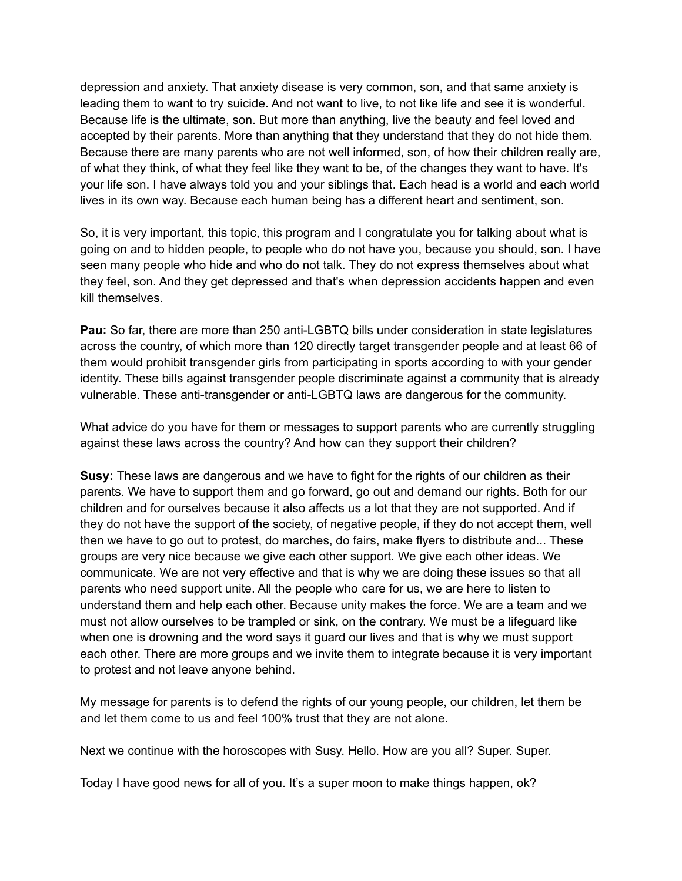depression and anxiety. That anxiety disease is very common, son, and that same anxiety is leading them to want to try suicide. And not want to live, to not like life and see it is wonderful. Because life is the ultimate, son. But more than anything, live the beauty and feel loved and accepted by their parents. More than anything that they understand that they do not hide them. Because there are many parents who are not well informed, son, of how their children really are, of what they think, of what they feel like they want to be, of the changes they want to have. It's your life son. I have always told you and your siblings that. Each head is a world and each world lives in its own way. Because each human being has a different heart and sentiment, son.

So, it is very important, this topic, this program and I congratulate you for talking about what is going on and to hidden people, to people who do not have you, because you should, son. I have seen many people who hide and who do not talk. They do not express themselves about what they feel, son. And they get depressed and that's when depression accidents happen and even kill themselves.

**Pau:** So far, there are more than 250 anti-LGBTQ bills under consideration in state legislatures across the country, of which more than 120 directly target transgender people and at least 66 of them would prohibit transgender girls from participating in sports according to with your gender identity. These bills against transgender people discriminate against a community that is already vulnerable. These anti-transgender or anti-LGBTQ laws are dangerous for the community.

What advice do you have for them or messages to support parents who are currently struggling against these laws across the country? And how can they support their children?

**Susy:** These laws are dangerous and we have to fight for the rights of our children as their parents. We have to support them and go forward, go out and demand our rights. Both for our children and for ourselves because it also affects us a lot that they are not supported. And if they do not have the support of the society, of negative people, if they do not accept them, well then we have to go out to protest, do marches, do fairs, make flyers to distribute and... These groups are very nice because we give each other support. We give each other ideas. We communicate. We are not very effective and that is why we are doing these issues so that all parents who need support unite. All the people who care for us, we are here to listen to understand them and help each other. Because unity makes the force. We are a team and we must not allow ourselves to be trampled or sink, on the contrary. We must be a lifeguard like when one is drowning and the word says it guard our lives and that is why we must support each other. There are more groups and we invite them to integrate because it is very important to protest and not leave anyone behind.

My message for parents is to defend the rights of our young people, our children, let them be and let them come to us and feel 100% trust that they are not alone.

Next we continue with the horoscopes with Susy. Hello. How are you all? Super. Super.

Today I have good news for all of you. It's a super moon to make things happen, ok?